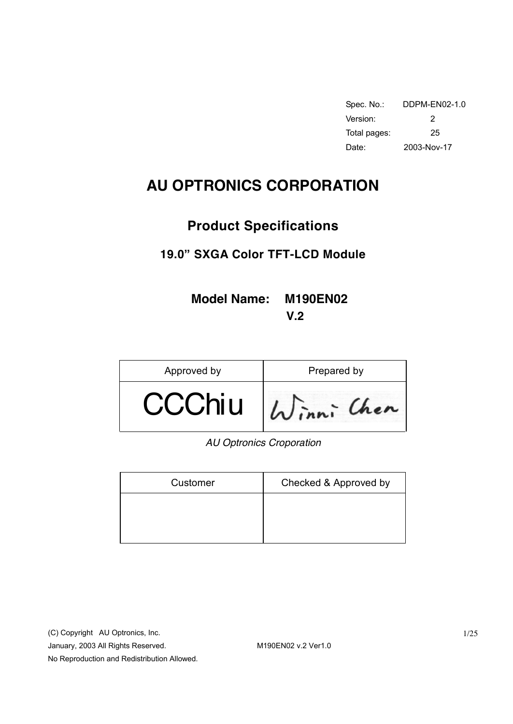| Spec. No.:   | DDPM-FN02-1.0 |
|--------------|---------------|
| Version:     | 2             |
| Total pages: | 25            |
| Date:        | 2003-Nov-17   |

# **AU OPTRONICS CORPORATION**

# **Product Specifications**

# **19.0" SXGA Color TFT-LCD Module**

**Model Name: M190EN02 V.2** 

| Approved by | Prepared by |  |  |
|-------------|-------------|--|--|
| CChiu       |             |  |  |

 *AU Optronics Croporation* 

| Customer | Checked & Approved by |
|----------|-----------------------|
|          |                       |
|          |                       |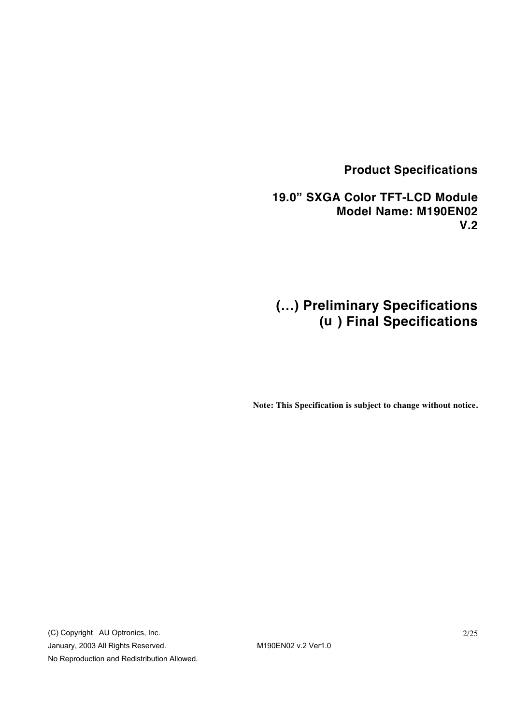# **Product Specifications**

 **19.0" SXGA Color TFT-LCD Module Model Name: M190EN02 V.2** 

# **(…) Preliminary Specifications (u ) Final Specifications**

**Note: This Specification is subject to change without notice.**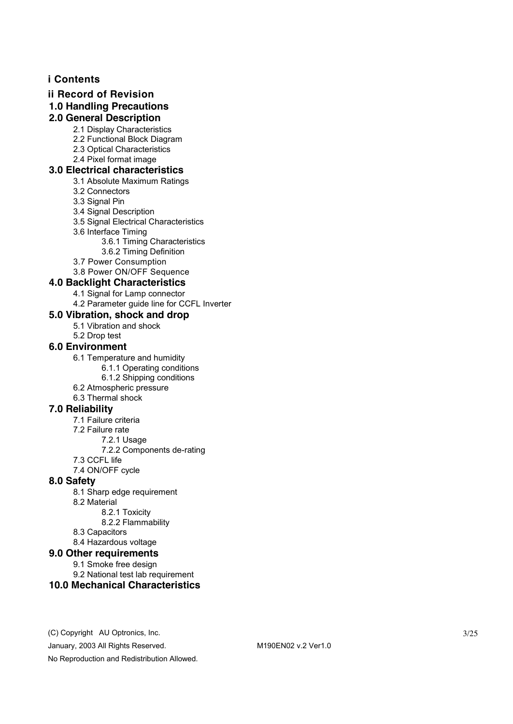## **i Contents**

#### **ii Record of Revision**

**1.0 Handling Precautions** 

## **2.0 General Description**

- 2.1 Display Characteristics
- 2.2 Functional Block Diagram
- 2.3 Optical Characteristics
- 2.4 Pixel format image

## **3.0 Electrical characteristics**

#### 3.1 Absolute Maximum Ratings

- 3.2 Connectors
- 3.3 Signal Pin
- 3.4 Signal Description
- 3.5 Signal Electrical Characteristics
- 3.6 Interface Timing
	- 3.6.1 Timing Characteristics
	- 3.6.2 Timing Definition
- 3.7 Power Consumption

#### 3.8 Power ON/OFF Sequence

- **4.0 Backlight Characteristics** 
	- 4.1 Signal for Lamp connector
	- 4.2 Parameter guide line for CCFL Inverter

### **5.0 Vibration, shock and drop**

- 5.1 Vibration and shock
- 5.2 Drop test

### **6.0 Environment**

- 6.1 Temperature and humidity
	- 6.1.1 Operating conditions
	- 6.1.2 Shipping conditions
- 6.2 Atmospheric pressure
- 6.3 Thermal shock

## **7.0 Reliability**

- 7.1 Failure criteria
- 7.2 Failure rate
	- 7.2.1 Usage
	- 7.2.2 Components de-rating
- 7.3 CCFL life
- 7.4 ON/OFF cycle

## **8.0 Safety**

- 8.1 Sharp edge requirement
- 8.2 Material
	- 8.2.1 Toxicity
		- 8.2.2 Flammability
- 8.3 Capacitors
- 8.4 Hazardous voltage

### **9.0 Other requirements**

- 9.1 Smoke free design
- 9.2 National test lab requirement
- **10.0 Mechanical Characteristics**
- (C) Copyright AU Optronics, Inc.
- January, 2003 All Rights Reserved. M190EN02 v.2 Ver1.0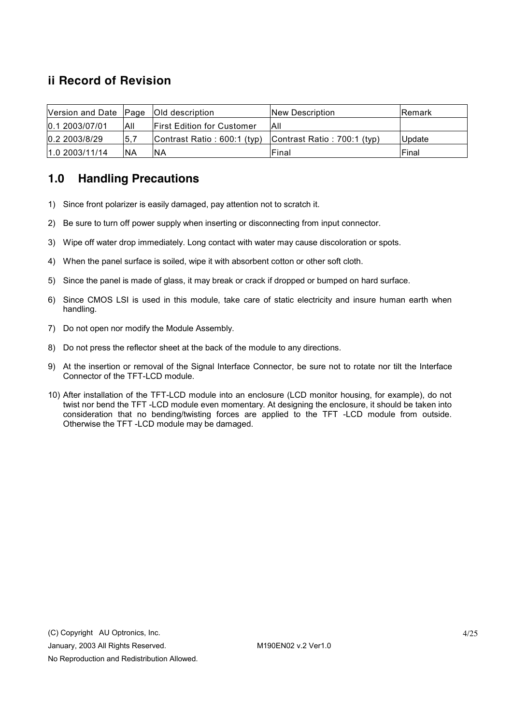# **ii Record of Revision**

| Version and Date Page   Old description |           |                                    | <b>New Description</b>      | <b>Remark</b> |
|-----------------------------------------|-----------|------------------------------------|-----------------------------|---------------|
| 0.1 2003/07/01                          | All       | <b>IFirst Edition for Customer</b> | All                         |               |
| 0.2 2003/8/29                           | 5,7       | Contrast Ratio: 600:1 (typ)        | Contrast Ratio: 700:1 (typ) | <b>Update</b> |
| 1.02003/11/14                           | <b>NA</b> | INA                                | Final                       | Final         |

# **1.0 Handling Precautions**

- 1) Since front polarizer is easily damaged, pay attention not to scratch it.
- 2) Be sure to turn off power supply when inserting or disconnecting from input connector.
- 3) Wipe off water drop immediately. Long contact with water may cause discoloration or spots.
- 4) When the panel surface is soiled, wipe it with absorbent cotton or other soft cloth.
- 5) Since the panel is made of glass, it may break or crack if dropped or bumped on hard surface.
- 6) Since CMOS LSI is used in this module, take care of static electricity and insure human earth when handling.
- 7) Do not open nor modify the Module Assembly.
- 8) Do not press the reflector sheet at the back of the module to any directions.
- 9) At the insertion or removal of the Signal Interface Connector, be sure not to rotate nor tilt the Interface Connector of the TFT-LCD module.
- 10) After installation of the TFT-LCD module into an enclosure (LCD monitor housing, for example), do not twist nor bend the TFT -LCD module even momentary. At designing the enclosure, it should be taken into consideration that no bending/twisting forces are applied to the TFT -LCD module from outside. Otherwise the TFT -LCD module may be damaged.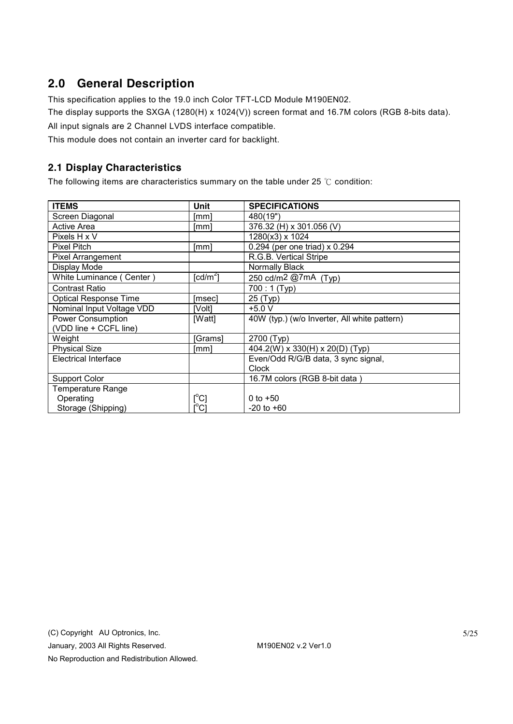# **2.0 General Description**

This specification applies to the 19.0 inch Color TFT-LCD Module M190EN02.

The display supports the SXGA (1280(H) x 1024(V)) screen format and 16.7M colors (RGB 8-bits data).

All input signals are 2 Channel LVDS interface compatible.

This module does not contain an inverter card for backlight.

## **2.1 Display Characteristics**

The following items are characteristics summary on the table under 25 ℃ condition:

| <b>ITEMS</b>                 | Unit                   | <b>SPECIFICATIONS</b>                        |
|------------------------------|------------------------|----------------------------------------------|
| Screen Diagonal              | [mm]                   | 480(19")                                     |
| Active Area                  | [mm]                   | 376.32 (H) x 301.056 (V)                     |
| Pixels H x V                 |                        | 1280(x3) x 1024                              |
| <b>Pixel Pitch</b>           | [mm]                   | 0.294 (per one triad) x 0.294                |
| Pixel Arrangement            |                        | R.G.B. Vertical Stripe                       |
| Display Mode                 |                        | Normally Black                               |
| White Luminance (Center)     | $\lceil cd/m^2 \rceil$ | 250 cd/m2 @7mA (Typ)                         |
| <b>Contrast Ratio</b>        |                        | $700:1$ (Typ)                                |
| <b>Optical Response Time</b> | [msec]                 | 25 (Typ)                                     |
| Nominal Input Voltage VDD    | [Volt]                 | $+5.0 V$                                     |
| <b>Power Consumption</b>     | [Watt]                 | 40W (typ.) (w/o Inverter, All white pattern) |
| (VDD line + CCFL line)       |                        |                                              |
| Weight                       | [Grams]                | 2700 (Typ)                                   |
| <b>Physical Size</b>         | [mm]                   | 404.2(W) x 330(H) x 20(D) (Typ)              |
| <b>Electrical Interface</b>  |                        | Even/Odd R/G/B data, 3 sync signal,          |
|                              |                        | Clock                                        |
| <b>Support Color</b>         |                        | 16.7M colors (RGB 8-bit data)                |
| <b>Temperature Range</b>     |                        |                                              |
| Operating                    | [°C]                   | 0 to $+50$                                   |
| Storage (Shipping)           | [°C]                   | $-20$ to $+60$                               |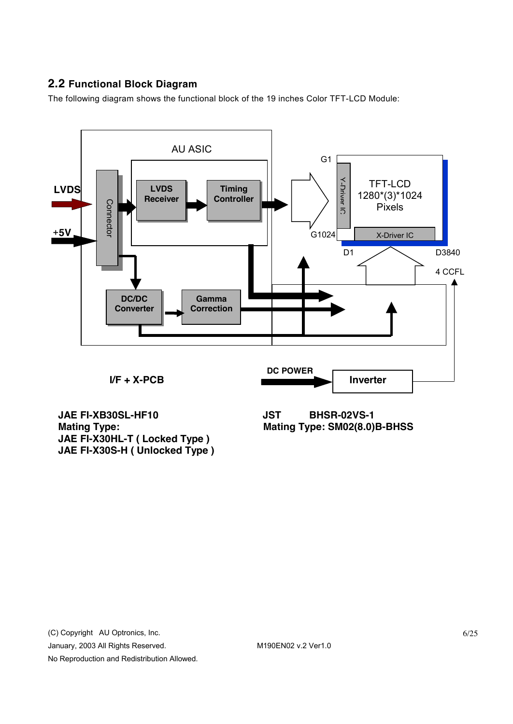# **2.2 Functional Block Diagram**

The following diagram shows the functional block of the 19 inches Color TFT-LCD Module:



**Mating Type: Mating Type: SM02(8.0)B-BHSS JAE FI-X30HL-T ( Locked Type ) JAE FI-X30S-H ( Unlocked Type )**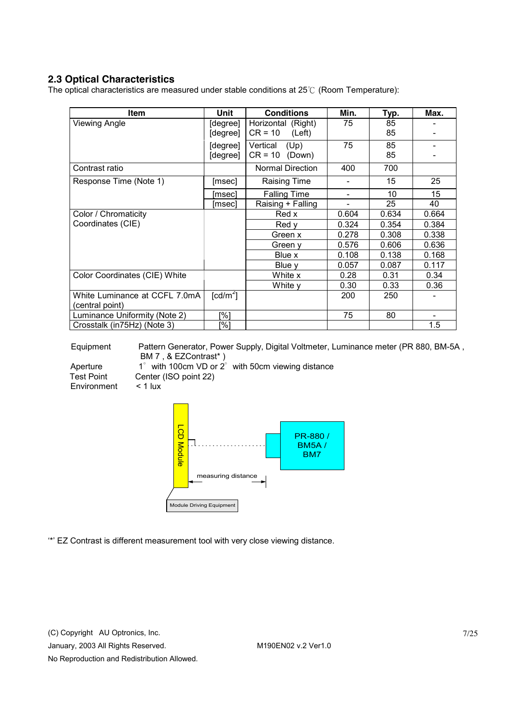## **2.3 Optical Characteristics**

The optical characteristics are measured under stable conditions at 25℃ (Room Temperature):

| Item                                             | Unit                                                              | <b>Conditions</b>                    | Min.  | Typ.     | Max.  |
|--------------------------------------------------|-------------------------------------------------------------------|--------------------------------------|-------|----------|-------|
| Viewing Angle                                    | Horizontal (Right)<br>[degree]<br>$CR = 10$<br>(Left)<br>[degree] |                                      | 75    | 85<br>85 |       |
|                                                  | [degree]<br>[degree]                                              | Vertical<br>(Up)<br>$CR = 10$ (Down) | 75    | 85<br>85 |       |
| Contrast ratio                                   |                                                                   | <b>Normal Direction</b>              | 400   | 700      |       |
| Response Time (Note 1)                           | [msec]                                                            | <b>Raising Time</b>                  |       | 15       | 25    |
|                                                  | [msec]                                                            | <b>Falling Time</b>                  | -     | 10       | 15    |
|                                                  | [msec]                                                            | Raising + Falling                    | -     | 25       | 40    |
| Color / Chromaticity                             |                                                                   | Red x                                | 0.604 | 0.634    | 0.664 |
| Coordinates (CIE)                                |                                                                   | Red v                                | 0.324 | 0.354    | 0.384 |
|                                                  |                                                                   | Green x                              | 0.278 | 0.308    | 0.338 |
|                                                  |                                                                   | Green y                              | 0.576 | 0.606    | 0.636 |
|                                                  |                                                                   | Blue x                               | 0.108 | 0.138    | 0.168 |
|                                                  |                                                                   | Blue y                               | 0.057 | 0.087    | 0.117 |
| Color Coordinates (CIE) White                    |                                                                   | White x                              | 0.28  | 0.31     | 0.34  |
|                                                  |                                                                   | White y                              | 0.30  | 0.33     | 0.36  |
| White Luminance at CCFL 7.0mA<br>(central point) | [ $cd/m2$ ]                                                       |                                      | 200   | 250      |       |
| Luminance Uniformity (Note 2)                    | [%]                                                               |                                      | 75    | 80       |       |
| Crosstalk (in75Hz) (Note 3)                      | [%]                                                               |                                      |       |          | 1.5   |

Equipment Pattern Generator, Power Supply, Digital Voltmeter, Luminance meter (PR 880, BM-5A , BM 7 , & EZContrast\* )

Environment < 1 lux

Aperture 1° with 100cm VD or 2° with 50cm viewing distance Test Point Center (ISO point 22)



'\*' EZ Contrast is different measurement tool with very close viewing distance.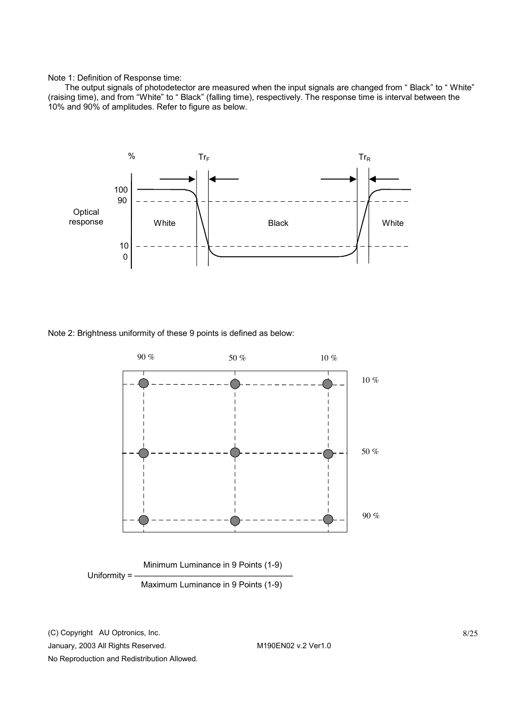Note 1: Definition of Response time:

The output signals of photodetector are measured when the input signals are changed from " Black" to " White" (raising time), and from "White" to " Black" (falling time), respectively. The response time is interval between the 10% and 90% of amplitudes. Refer to figure as below.



Note 2: Brightness uniformity of these 9 points is defined as below:



(C) Copyright AU Optronics, Inc.

January, 2003 All Rights Reserved. M190EN02 v.2 Ver1.0 No Reproduction and Redistribution Allowed.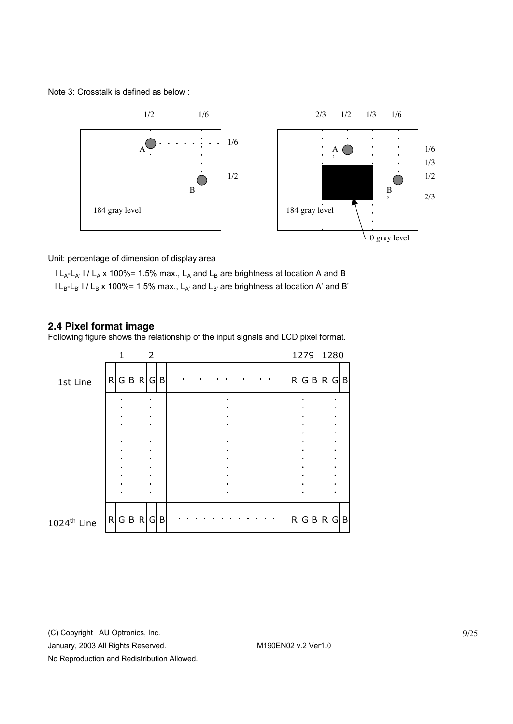Note 3: Crosstalk is defined as below :



Unit: percentage of dimension of display area

 $l L_A-L_{A'}$  l /  $L_A$  x 100%= 1.5% max.,  $L_A$  and  $L_B$  are brightness at location A and B  $l L_{B} - L_{B'}$  I /  $L_{B}$  x 100%= 1.5% max.,  $L_{A'}$  and  $L_{B'}$  are brightness at location A' and B'

#### **2.4 Pixel format image**

Following figure shows the relationship of the input signals and LCD pixel format.



January, 2003 All Rights Reserved. M190EN02 v.2 Ver1.0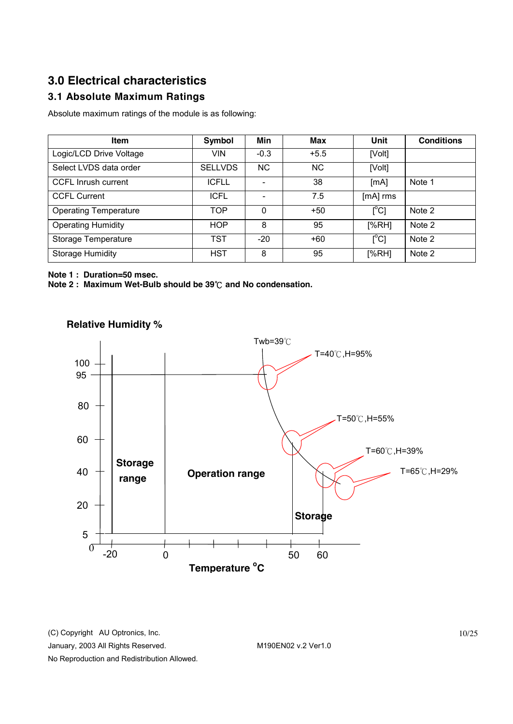# **3.0 Electrical characteristics**

# **3.1 Absolute Maximum Ratings**

Absolute maximum ratings of the module is as following:

| Item                         | Symbol         | Min      | <b>Max</b> | Unit                      | <b>Conditions</b> |
|------------------------------|----------------|----------|------------|---------------------------|-------------------|
| Logic/LCD Drive Voltage      | VIN            | $-0.3$   | $+5.5$     | [Volt]                    |                   |
| Select LVDS data order       | <b>SELLVDS</b> | NC.      | <b>NC</b>  | [Volt]                    |                   |
| <b>CCFL Inrush current</b>   | <b>ICFLL</b>   |          | 38         | [mA]                      | Note 1            |
| <b>CCFL Current</b>          | <b>ICFL</b>    |          | 7.5        | [mA] rms                  |                   |
| <b>Operating Temperature</b> | <b>TOP</b>     | $\Omega$ | $+50$      | [°C]                      | Note 2            |
| <b>Operating Humidity</b>    | <b>HOP</b>     | 8        | 95         | [%RH]                     | Note 2            |
| Storage Temperature          | <b>TST</b>     | $-20$    | $+60$      | $\lceil{^{\circ}C}\rceil$ | Note 2            |
| <b>Storage Humidity</b>      | <b>HST</b>     | 8        | 95         | [%RH]                     | Note 2            |

**Note 1 : Duration=50 msec.** 

**Note 2 : Maximum Wet-Bulb should be 39**℃ **and No condensation.** 



# **Relative Humidity %**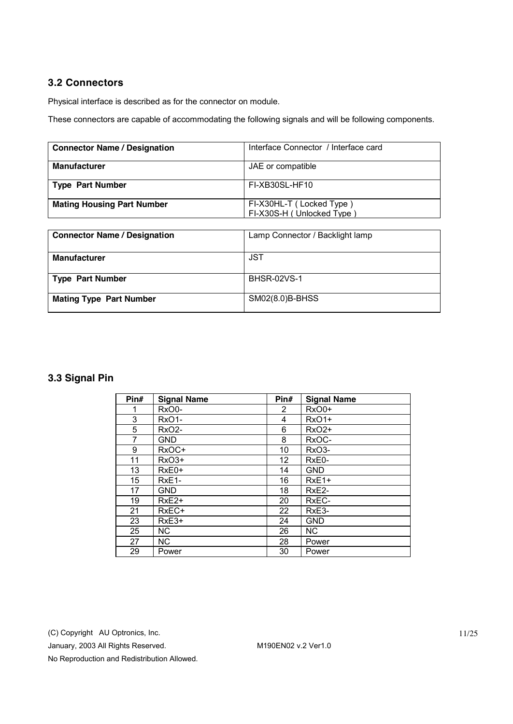## **3.2 Connectors**

Physical interface is described as for the connector on module.

These connectors are capable of accommodating the following signals and will be following components.

| <b>Connector Name / Designation</b> | Interface Connector / Interface card                  |
|-------------------------------------|-------------------------------------------------------|
| <b>Manufacturer</b>                 | JAE or compatible                                     |
| <b>Type Part Number</b>             | FI-XB30SL-HF10                                        |
| <b>Mating Housing Part Number</b>   | FI-X30HL-T (Locked Type)<br>FI-X30S-H (Unlocked Type) |

| <b>Connector Name / Designation</b> | Lamp Connector / Backlight lamp |
|-------------------------------------|---------------------------------|
| <b>Manufacturer</b>                 | JST                             |
| <b>Type Part Number</b>             | <b>BHSR-02VS-1</b>              |
| <b>Mating Type Part Number</b>      | SM02(8.0)B-BHSS                 |

# **3.3 Signal Pin**

| Pin# | <b>Signal Name</b> | Pin#                  | <b>Signal Name</b> |
|------|--------------------|-----------------------|--------------------|
|      | RxO0-              | $\mathbf{2}^{\prime}$ | RxO0+              |
| 3    | <b>RxO1-</b>       | 4                     | <b>RxO1+</b>       |
| 5    | <b>RxO2-</b>       | 6                     | RxO2+              |
| 7    | <b>GND</b>         | 8                     | RxOC-              |
| 9    | RxOC+              | 10                    | RxO3-              |
| 11   | RxO3+              | 12                    | RxE0-              |
| 13   | $RxE0+$            | 14                    | <b>GND</b>         |
| 15   | RxE1-              | 16                    | $RxE1+$            |
| 17   | GND                | 18                    | RxE <sub>2</sub> - |
| 19   | $RxE2+$            | 20                    | RxEC-              |
| 21   | RxEC+              | 22                    | RxE3-              |
| 23   | $RxE3+$            | 24                    | <b>GND</b>         |
| 25   | NC.                | 26                    | NC.                |
| 27   | NC.                | 28                    | Power              |
| 29   | Power              | 30                    | Power              |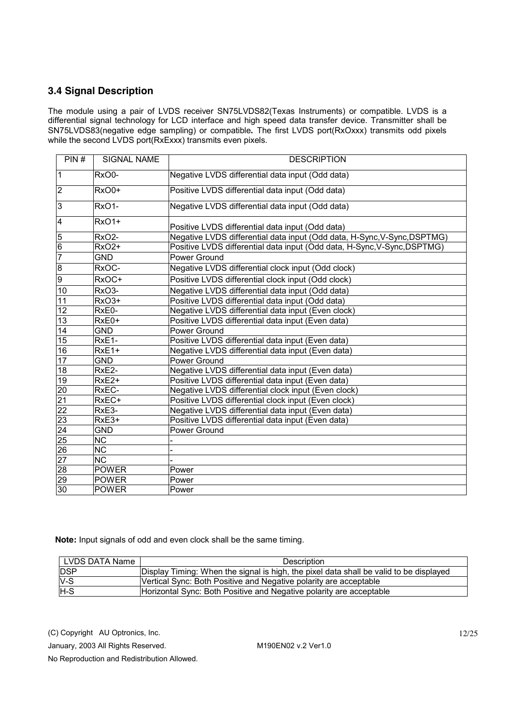## **3.4 Signal Description**

The module using a pair of LVDS receiver SN75LVDS82(Texas Instruments) or compatible. LVDS is a differential signal technology for LCD interface and high speed data transfer device. Transmitter shall be SN75LVDS83(negative edge sampling) or compatible**.** The first LVDS port(RxOxxx) transmits odd pixels while the second LVDS port(RxExxx) transmits even pixels.

| PIN#                               | <b>SIGNAL NAME</b>     | <b>DESCRIPTION</b>                                                       |
|------------------------------------|------------------------|--------------------------------------------------------------------------|
| $\overline{1}$                     | RxO0-                  | Negative LVDS differential data input (Odd data)                         |
| $\overline{2}$                     | RxO0+                  | Positive LVDS differential data input (Odd data)                         |
| 3                                  | <b>RxO1-</b>           | Negative LVDS differential data input (Odd data)                         |
| $\overline{4}$                     | <b>RxO1+</b>           | Positive LVDS differential data input (Odd data)                         |
| ၀ ပြ                               | RxO <sub>2</sub> -     | Negative LVDS differential data input (Odd data, H-Sync, V-Sync, DSPTMG) |
|                                    | <b>RxO2+</b>           | Positive LVDS differential data input (Odd data, H-Sync, V-Sync, DSPTMG) |
| $\frac{1}{7}$                      | <b>GND</b>             | Power Ground                                                             |
| $\overline{8}$                     | RxOC-                  | Negative LVDS differential clock input (Odd clock)                       |
| $\overline{9}$                     | RxOC+                  | Positive LVDS differential clock input (Odd clock)                       |
| 10                                 | RxO <sub>3</sub> -     | Negative LVDS differential data input (Odd data)                         |
| 11                                 | RxO <sub>3+</sub>      | Positive LVDS differential data input (Odd data)                         |
| 12                                 | RxE0-                  | Negative LVDS differential data input (Even clock)                       |
| 13                                 | $RxE0+$                | Positive LVDS differential data input (Even data)                        |
| $\overline{14}$                    | <b>GND</b>             | Power Ground                                                             |
| 15                                 | RxE1-                  | Positive LVDS differential data input (Even data)                        |
| 16                                 | $RxE1+$                | Negative LVDS differential data input (Even data)                        |
| 17                                 | <b>GND</b>             | Power Ground                                                             |
| 18                                 | RxE2-                  | Negative LVDS differential data input (Even data)                        |
| 19                                 | RxE <sub>2+</sub>      | Positive LVDS differential data input (Even data)                        |
|                                    | RxEC-                  | Negative LVDS differential clock input (Even clock)                      |
| $\frac{20}{22}$<br>$\frac{22}{23}$ | RxEC+                  | Positive LVDS differential clock input (Even clock)                      |
|                                    | RxE3-                  | Negative LVDS differential data input (Even data)                        |
|                                    | RxE3+                  | Positive LVDS differential data input (Even data)                        |
| 24                                 | <b>GND</b>             | Power Ground                                                             |
|                                    | $\overline{\text{NC}}$ |                                                                          |
|                                    | $\overline{NC}$        |                                                                          |
| $\frac{25}{27}$                    | <b>NC</b>              |                                                                          |
| 28                                 | <b>POWER</b>           | Power                                                                    |
| 29                                 | <b>POWER</b>           | Power                                                                    |
| 30                                 | <b>POWER</b>           | Power                                                                    |

 **Note:** Input signals of odd and even clock shall be the same timing.

| LVDS DATA Name | <b>Description</b>                                                                     |
|----------------|----------------------------------------------------------------------------------------|
| <b>IDSP</b>    | Display Timing: When the signal is high, the pixel data shall be valid to be displayed |
| $V-S$          | Vertical Sync: Both Positive and Negative polarity are acceptable                      |
| H-S            | Horizontal Sync: Both Positive and Negative polarity are acceptable                    |

(C) Copyright AU Optronics, Inc.

January, 2003 All Rights Reserved. M190EN02 v.2 Ver1.0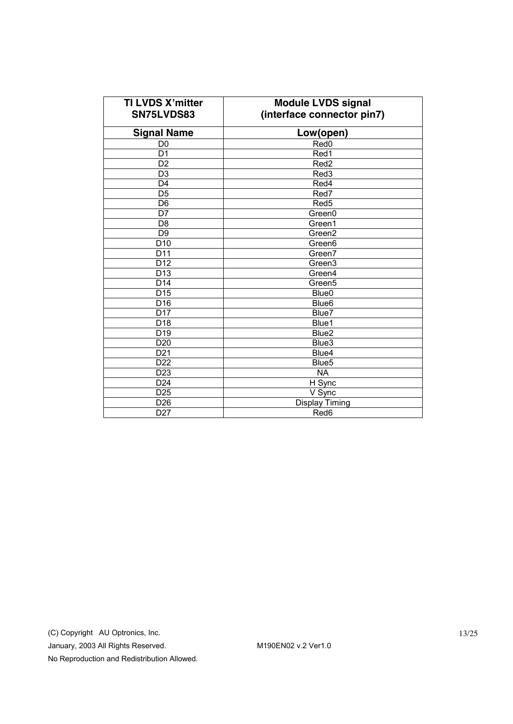| TI LVDS X'mitter<br>SN75LVDS83 | <b>Module LVDS signal</b><br>(interface connector pin7) |  |  |
|--------------------------------|---------------------------------------------------------|--|--|
| <b>Signal Name</b>             | Low(open)                                               |  |  |
| D <sub>0</sub>                 | Red <sub>0</sub>                                        |  |  |
| D <sub>1</sub>                 | Red1                                                    |  |  |
| D <sub>2</sub>                 | Red <sub>2</sub>                                        |  |  |
| D <sub>3</sub>                 | Red3                                                    |  |  |
| D <sub>4</sub>                 | Red4                                                    |  |  |
| D <sub>5</sub>                 | Red7                                                    |  |  |
| D <sub>6</sub>                 | Red <sub>5</sub>                                        |  |  |
| D7                             | Green0                                                  |  |  |
| D <sub>8</sub>                 | Green1                                                  |  |  |
| D <sub>9</sub>                 | Green2                                                  |  |  |
| D <sub>10</sub>                | Green6                                                  |  |  |
| D11                            | Green7                                                  |  |  |
| D <sub>12</sub>                | Green <sub>3</sub>                                      |  |  |
| D <sub>13</sub>                | Green4                                                  |  |  |
| D <sub>14</sub>                | Green <sub>5</sub>                                      |  |  |
| D <sub>15</sub>                | Blue <sub>0</sub>                                       |  |  |
| D16                            | Blue <sub>6</sub>                                       |  |  |
| D <sub>17</sub>                | Blue7                                                   |  |  |
| D <sub>18</sub>                | Blue1                                                   |  |  |
| D <sub>19</sub>                | Blue <sub>2</sub>                                       |  |  |
| D <sub>20</sub>                | Blue3                                                   |  |  |
| D <sub>21</sub>                | Blue4                                                   |  |  |
| D <sub>22</sub>                | Blue <sub>5</sub>                                       |  |  |
| D <sub>23</sub>                | <b>NA</b>                                               |  |  |
| D <sub>24</sub>                | H Sync                                                  |  |  |
| D <sub>25</sub>                | V Sync                                                  |  |  |
| D <sub>26</sub>                | <b>Display Timing</b>                                   |  |  |
| D <sub>27</sub>                | Red6                                                    |  |  |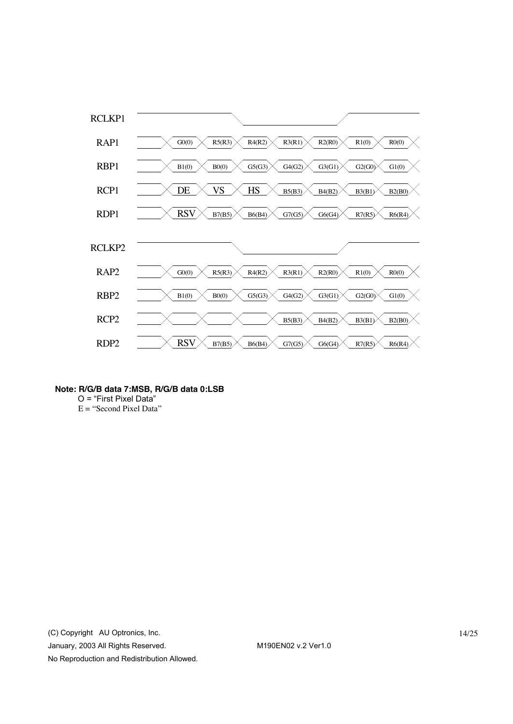

**Note: R/G/B data 7:MSB, R/G/B data 0:LSB** 

O = "First Pixel Data"

E = "Second Pixel Data"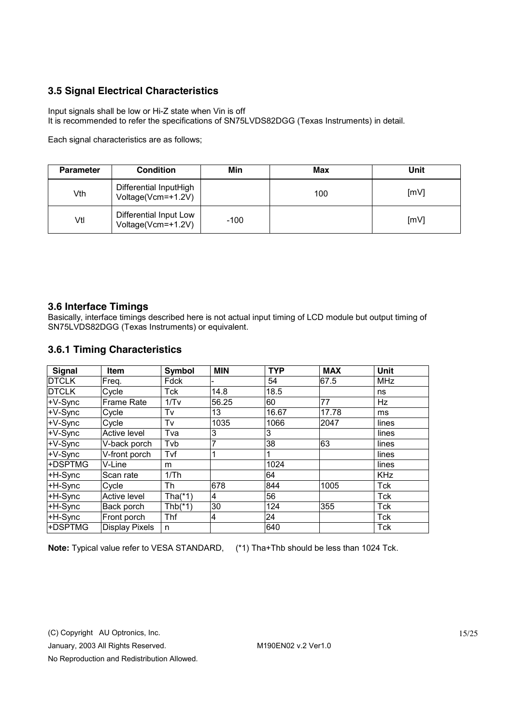## **3.5 Signal Electrical Characteristics**

Input signals shall be low or Hi-Z state when Vin is off It is recommended to refer the specifications of SN75LVDS82DGG (Texas Instruments) in detail.

Each signal characteristics are as follows;

| <b>Parameter</b> | <b>Condition</b>                             | Min    | Max | Unit |
|------------------|----------------------------------------------|--------|-----|------|
| Vth              | Differential InputHigh<br>Voltage(Vcm=+1.2V) |        | 100 | [mV] |
| Vtl              | Differential Input Low<br>Voltage(Vcm=+1.2V) | $-100$ |     | [mV] |

## **3.6 Interface Timings**

Basically, interface timings described here is not actual input timing of LCD module but output timing of SN75LVDS82DGG (Texas Instruments) or equivalent.

## **3.6.1 Timing Characteristics**

| <b>Signal</b> | <b>Item</b>           | Symbol     | <b>MIN</b>     | <b>TYP</b> | <b>MAX</b> | Unit       |
|---------------|-----------------------|------------|----------------|------------|------------|------------|
| <b>DTCLK</b>  | Freq.                 | Fdck       |                | 54         | 67.5       | <b>MHz</b> |
| <b>DTCLK</b>  | Cycle                 | Tck        | 14.8           | 18.5       |            | ns         |
| $+V-Sync$     | <b>Frame Rate</b>     | 1/Tv       | 56.25          | 60         | 77         | Hz         |
| +V-Sync       | Cycle                 | Tv         | 13             | 16.67      | 17.78      | ms         |
| +V-Sync       | Cycle                 | Tv         | 1035           | 1066       | 2047       | lines      |
| +V-Sync       | <b>Active level</b>   | Tva        | 3              | 3          |            | lines      |
| +V-Sync       | V-back porch          | Tvb        | 7              | 38         | 63         | lines      |
| +V-Sync       | V-front porch         | Tvf        |                |            |            | lines      |
| +DSPTMG       | V-Line                | m          |                | 1024       |            | lines      |
| +H-Sync       | Scan rate             | 1/Th       |                | 64         |            | <b>KHz</b> |
| +H-Sync       | Cycle                 | Th         | 678            | 844        | 1005       | Tck        |
| +H-Sync       | <b>Active level</b>   | Tha $(*1)$ | $\overline{4}$ | 56         |            | Tck        |
| +H-Sync       | Back porch            | $Thb(*1)$  | 30             | 124        | 355        | Tck        |
| +H-Sync       | Front porch           | Thf        | 4              | 24         |            | Tck        |
| +DSPTMG       | <b>Display Pixels</b> | n          |                | 640        |            | Tck        |

**Note:** Typical value refer to VESA STANDARD, (\*1) Tha+Thb should be less than 1024 Tck.

(C) Copyright AU Optronics, Inc.

January, 2003 All Rights Reserved. M190EN02 v.2 Ver1.0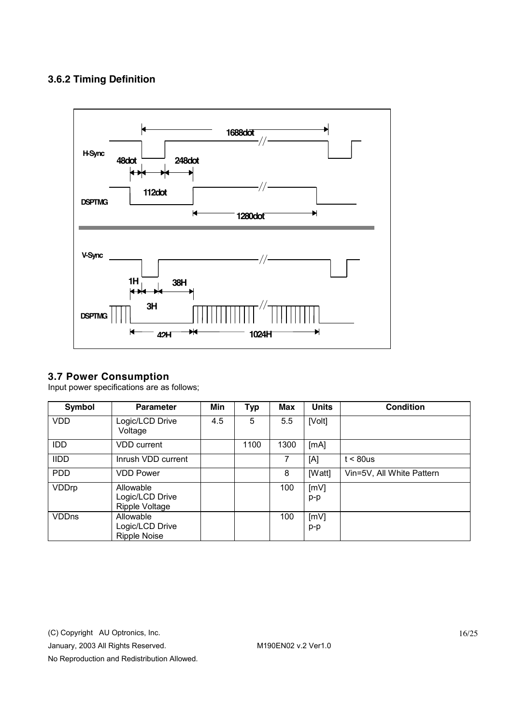# **3.6.2 Timing Definition**



## **3.7 Power Consumption**

Input power specifications are as follows;

| Symbol       | <b>Parameter</b>                                    | Min | <b>Typ</b> | <b>Max</b> | <b>Units</b> | <b>Condition</b>          |
|--------------|-----------------------------------------------------|-----|------------|------------|--------------|---------------------------|
| <b>VDD</b>   | Logic/LCD Drive<br>Voltage                          | 4.5 | 5          | 5.5        | [Volt]       |                           |
| <b>IDD</b>   | <b>VDD</b> current                                  |     | 1100       | 1300       | [mA]         |                           |
| <b>IIDD</b>  | Inrush VDD current                                  |     |            | 7          | [A]          | $t < 80$ us               |
| <b>PDD</b>   | <b>VDD Power</b>                                    |     |            | 8          | [Watt]       | Vin=5V, All White Pattern |
| VDDrp        | Allowable<br>Logic/LCD Drive<br>Ripple Voltage      |     |            | 100        | [mV]<br>p-p  |                           |
| <b>VDDns</b> | Allowable<br>Logic/LCD Drive<br><b>Ripple Noise</b> |     |            | 100        | [mV]<br>p-p  |                           |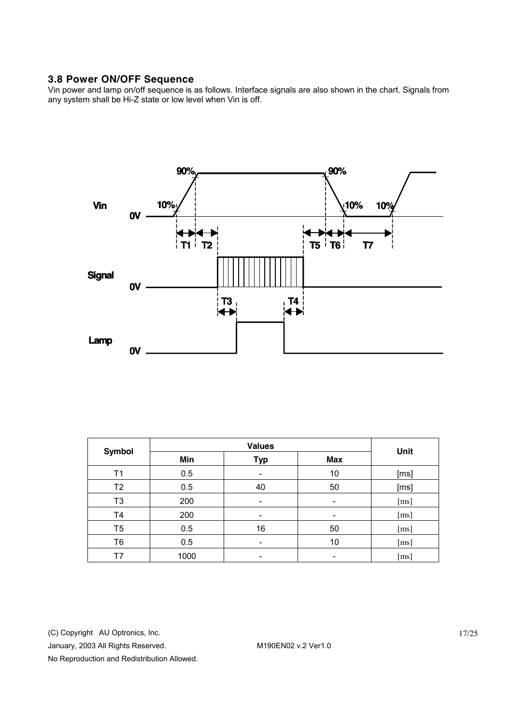## **3.8 Power ON/OFF Sequence**

Vin power and lamp on/off sequence is as follows. Interface signals are also shown in the chart. Signals from any system shall be Hi-Z state or low level when Vin is off.



| <b>Symbol</b>  |      | Unit                     |            |                    |
|----------------|------|--------------------------|------------|--------------------|
|                | Min  | <b>Typ</b>               | <b>Max</b> |                    |
| T1             | 0.5  |                          | 10         | [ms]               |
| T <sub>2</sub> | 0.5  | 40                       | 50         | [ms]               |
| T3             | 200  | $\overline{\phantom{0}}$ | -          | [ms]               |
| T4             | 200  |                          |            | [ms]               |
| T5             | 0.5  | 16                       | 50         | [ms]               |
| T6             | 0.5  | $\overline{\phantom{0}}$ | 10         | [ms]               |
| Τ7             | 1000 |                          |            | $\lceil ms \rceil$ |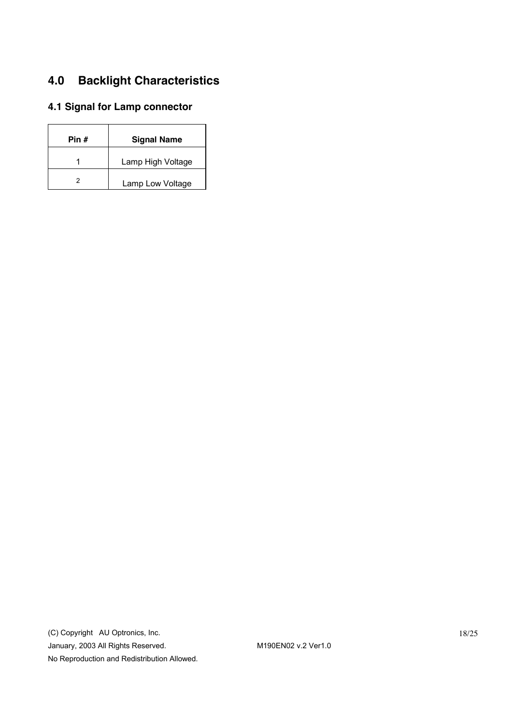# **4.0 Backlight Characteristics**

# **4.1 Signal for Lamp connector**

| Pin # | <b>Signal Name</b> |
|-------|--------------------|
|       | Lamp High Voltage  |
|       | Lamp Low Voltage   |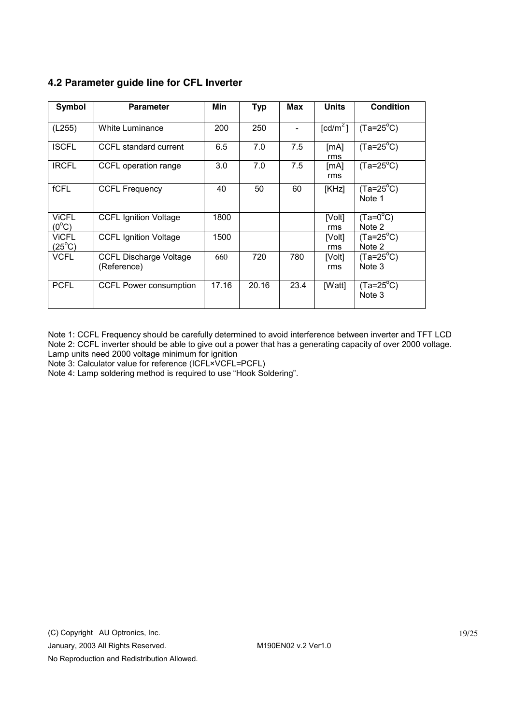# **4.2 Parameter guide line for CFL Inverter**

| Symbol                          | <b>Parameter</b>                             | Min   | <b>Typ</b> | Max  | <b>Units</b>         | <b>Condition</b>             |
|---------------------------------|----------------------------------------------|-------|------------|------|----------------------|------------------------------|
| (L255)                          | White Luminance                              | 200   | 250        |      | [cd/m <sup>2</sup> ] | $(Ta=25^{\circ}C)$           |
| <b>ISCFL</b>                    | CCFL standard current                        | 6.5   | 7.0        | 7.5  | [mA]<br>rms          | $(Ta=25^{\circ}C)$           |
| <b>IRCFL</b>                    | CCFL operation range                         | 3.0   | 7.0        | 7.5  | [mA]<br>rms          | $(Ta=25^{\circ}C)$           |
| fCFL                            | <b>CCFL Frequency</b>                        | 40    | 50         | 60   | [KHz]                | $(Ta=25^{\circ}C)$<br>Note 1 |
| <b>VICFL</b><br>$(0^{\circ}C)$  | <b>CCFL Ignition Voltage</b>                 | 1800  |            |      | [Volt]<br>rms        | $(Ta=0^{\circ}C)$<br>Note 2  |
| <b>VICFL</b><br>$(25^{\circ}C)$ | <b>CCFL Ignition Voltage</b>                 | 1500  |            |      | [Volt]<br>rms        | $(Ta=25^{\circ}C)$<br>Note 2 |
| <b>VCFL</b>                     | <b>CCFL Discharge Voltage</b><br>(Reference) | 660   | 720        | 780  | [Volt]<br>rms        | $(Ta=25^{\circ}C)$<br>Note 3 |
| <b>PCFL</b>                     | CCFL Power consumption                       | 17.16 | 20.16      | 23.4 | [Watt]               | $(Ta=25^{\circ}C)$<br>Note 3 |

Note 1: CCFL Frequency should be carefully determined to avoid interference between inverter and TFT LCD Note 2: CCFL inverter should be able to give out a power that has a generating capacity of over 2000 voltage. Lamp units need 2000 voltage minimum for ignition

Note 3: Calculator value for reference (ICFL×VCFL=PCFL)

Note 4: Lamp soldering method is required to use "Hook Soldering".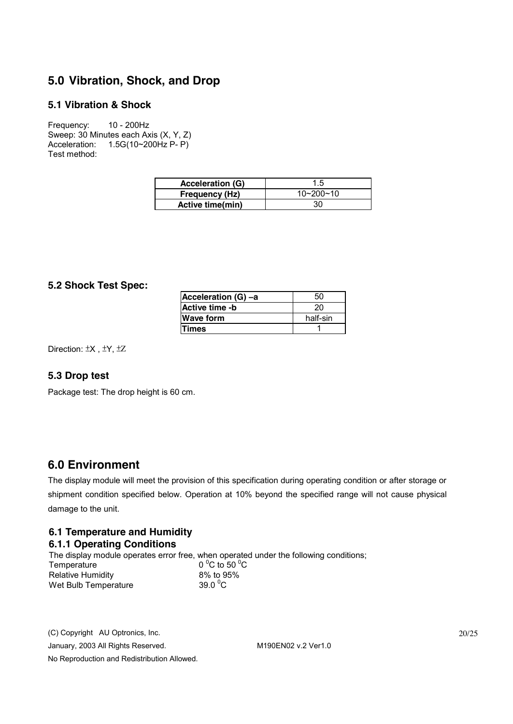# **5.0 Vibration, Shock, and Drop**

## **5.1 Vibration & Shock**

Frequency: 10 - 200Hz Sweep: 30 Minutes each Axis (X, Y, Z) Acceleration: 1.5G(10~200Hz P- P) Test method:

| <b>Acceleration (G)</b> | 1.5             |
|-------------------------|-----------------|
| <b>Frequency (Hz)</b>   | $10 - 200 - 10$ |
| Active time(min)        | 30              |

### **5.2 Shock Test Spec:**

| Acceleration (G) -a | 50       |
|---------------------|----------|
| Active time -b      | 20       |
| <b>Wave form</b>    | half-sin |
| <b>Times</b>        |          |

Direction: ±X , ±Y, ±Z

### **5.3 Drop test**

Package test: The drop height is 60 cm.

# **6.0 Environment**

The display module will meet the provision of this specification during operating condition or after storage or shipment condition specified below. Operation at 10% beyond the specified range will not cause physical damage to the unit.

## **6.1 Temperature and Humidity 6.1.1 Operating Conditions**

The display module operates error free, when operated under the following conditions; Temperature C to 50 $\mathrm{^0C}$ Relative Humidity 8% to 95% Wet Bulb Temperature 39.0 $\mathrm{^0C}$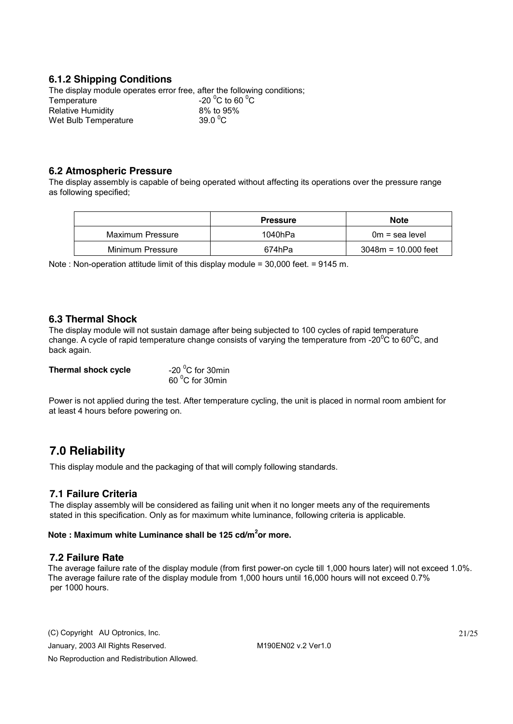## **6.1.2 Shipping Conditions**

The display module operates error free, after the following conditions; Temperature C to 60 $\mathrm{^0C}$ Relative Humidity 8% to 95% Wet Bulb Temperature 39.0  $\degree$ C

### **6.2 Atmospheric Pressure**

The display assembly is capable of being operated without affecting its operations over the pressure range as following specified;

|                  | <b>Pressure</b> | <b>Note</b>           |
|------------------|-----------------|-----------------------|
| Maximum Pressure | 1040hPa         | $0m =$ sea level      |
| Minimum Pressure | 674hPa          | $3048m = 10.000$ feet |

Note : Non-operation attitude limit of this display module = 30,000 feet. = 9145 m.

#### **6.3 Thermal Shock**

The display module will not sustain damage after being subjected to 100 cycles of rapid temperature change. A cycle of rapid temperature change consists of varying the temperature from -20 $\rm{^0C}$  to 60 $\rm{^0C}$ , and back again.

| Thermal shock cycle | -20 $\mathrm{^0C}$ for 30min |
|---------------------|------------------------------|
|                     | 60 °C for 30min              |

Power is not applied during the test. After temperature cycling, the unit is placed in normal room ambient for at least 4 hours before powering on.

# **7.0 Reliability**

This display module and the packaging of that will comply following standards.

### **7.1 Failure Criteria**

The display assembly will be considered as failing unit when it no longer meets any of the requirements stated in this specification. Only as for maximum white luminance, following criteria is applicable.

#### **Note : Maximum white Luminance shall be 125 cd/m<sup>2</sup> or more.**

#### **7.2 Failure Rate**

The average failure rate of the display module (from first power-on cycle till 1,000 hours later) will not exceed 1.0%. The average failure rate of the display module from 1,000 hours until 16,000 hours will not exceed 0.7% per 1000 hours.

(C) Copyright AU Optronics, Inc. January, 2003 All Rights Reserved. M190EN02 v.2 Ver1.0 No Reproduction and Redistribution Allowed.

21/25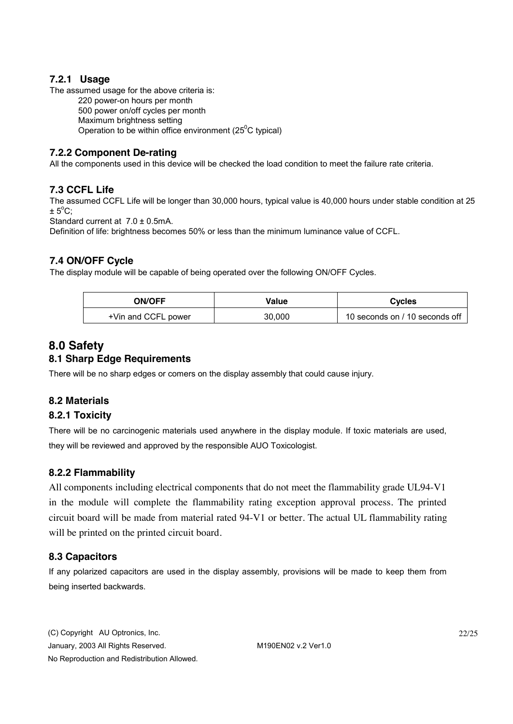## **7.2.1 Usage**

The assumed usage for the above criteria is:

220 power-on hours per month 500 power on/off cycles per month Maximum brightness setting

Operation to be within office environment ( $25^{\circ}$ C typical)

## **7.2.2 Component De-rating**

All the components used in this device will be checked the load condition to meet the failure rate criteria.

## **7.3 CCFL Life**

The assumed CCFL Life will be longer than 30,000 hours, typical value is 40,000 hours under stable condition at 25  $\pm$  5°C;

Standard current at 7.0 ± 0.5mA.

Definition of life: brightness becomes 50% or less than the minimum luminance value of CCFL.

## **7.4 ON/OFF Cycle**

The display module will be capable of being operated over the following ON/OFF Cycles.

| <b>ON/OFF</b>       | Value  | Cycles                         |
|---------------------|--------|--------------------------------|
| +Vin and CCFL power | 30.000 | 10 seconds on / 10 seconds off |

# **8.0 Safety**

# **8.1 Sharp Edge Requirements**

There will be no sharp edges or comers on the display assembly that could cause injury.

## **8.2 Materials**

### **8.2.1 Toxicity**

There will be no carcinogenic materials used anywhere in the display module. If toxic materials are used, they will be reviewed and approved by the responsible AUO Toxicologist.

## **8.2.2 Flammability**

All components including electrical components that do not meet the flammability grade UL94-V1 in the module will complete the flammability rating exception approval process. The printed circuit board will be made from material rated 94-V1 or better. The actual UL flammability rating will be printed on the printed circuit board.

## **8.3 Capacitors**

If any polarized capacitors are used in the display assembly, provisions will be made to keep them from being inserted backwards.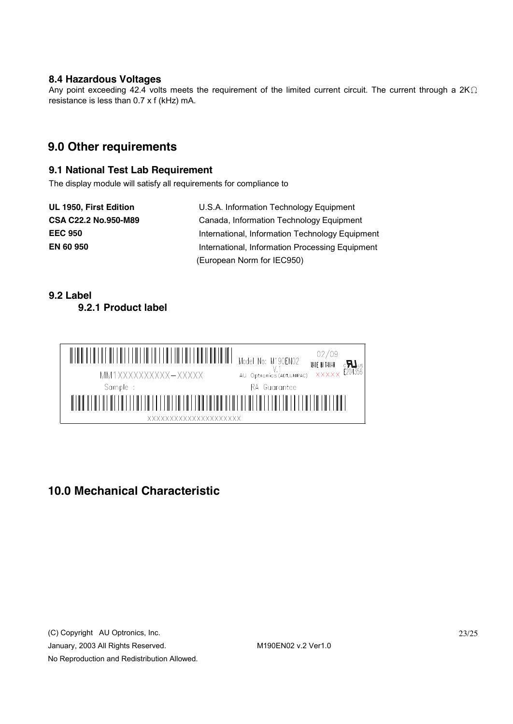#### **8.4 Hazardous Voltages**

Any point exceeding 42.4 volts meets the requirement of the limited current circuit. The current through a 2K $\Omega$ resistance is less than 0.7 x f (kHz) mA.

# **9.0 Other requirements**

### **9.1 National Test Lab Requirement**

The display module will satisfy all requirements for compliance to

**UL 1950, First Edition** U.S.A. Information Technology Equipment **CSA C22.2 No.950-M89** Canada, Information Technology Equipment **EEC 950** International, Information Technology Equipment **EN 60 950** International, Information Processing Equipment (European Norm for IEC950)

## **9.2 Label 9.2.1 Product label**



# **10.0 Mechanical Characteristic**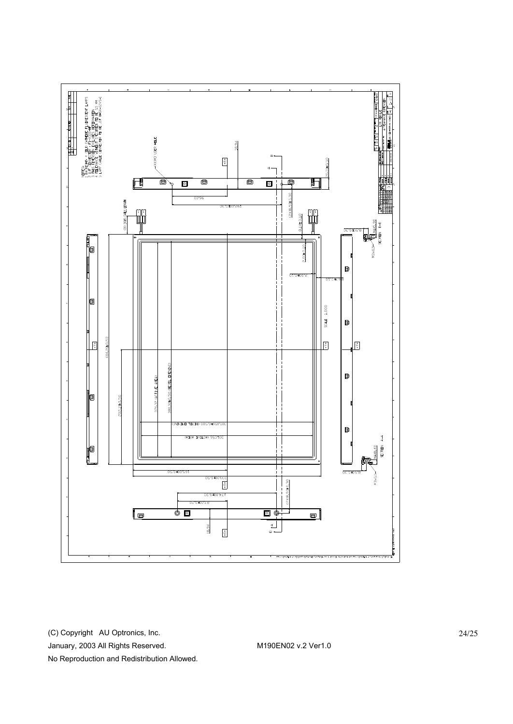